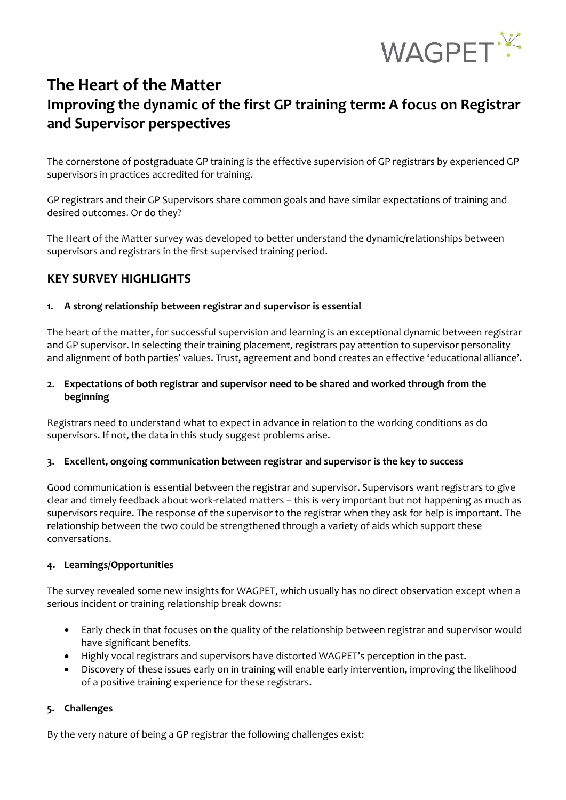

# **The Heart of the Matter Improving the dynamic of the first GP training term: A focus on Registrar and Supervisor perspectives**

The cornerstone of postgraduate GP training is the effective supervision of GP registrars by experienced GP supervisors in practices accredited for training.

GP registrars and their GP Supervisors share common goals and have similar expectations of training and desired outcomes. Or do they?

The Heart of the Matter survey was developed to better understand the dynamic/relationships between supervisors and registrars in the first supervised training period.

# **KEY SURVEY HIGHLIGHTS**

## **1. A strong relationship between registrar and supervisor is essential**

The heart of the matter, for successful supervision and learning is an exceptional dynamic between registrar and GP supervisor. In selecting their training placement, registrars pay attention to supervisor personality and alignment of both parties' values. Trust, agreement and bond creates an effective 'educational alliance'.

## **2. Expectations of both registrar and supervisor need to be shared and worked through from the beginning**

Registrars need to understand what to expect in advance in relation to the working conditions as do supervisors. If not, the data in this study suggest problems arise.

## **3. Excellent, ongoing communication between registrar and supervisor is the key to success**

Good communication is essential between the registrar and supervisor. Supervisors want registrars to give clear and timely feedback about work-related matters – this is very important but not happening as much as supervisors require. The response of the supervisor to the registrar when they ask for help is important. The relationship between the two could be strengthened through a variety of aids which support these conversations.

## **4. Learnings/Opportunities**

The survey revealed some new insights for WAGPET, which usually has no direct observation except when a serious incident or training relationship break downs:

- Early check in that focuses on the quality of the relationship between registrar and supervisor would have significant benefits*.*
- Highly vocal registrars and supervisors have distorted WAGPET's perception in the past.
- Discovery of these issues early on in training will enable early intervention, improving the likelihood of a positive training experience for these registrars.

## **5. Challenges**

By the very nature of being a GP registrar the following challenges exist: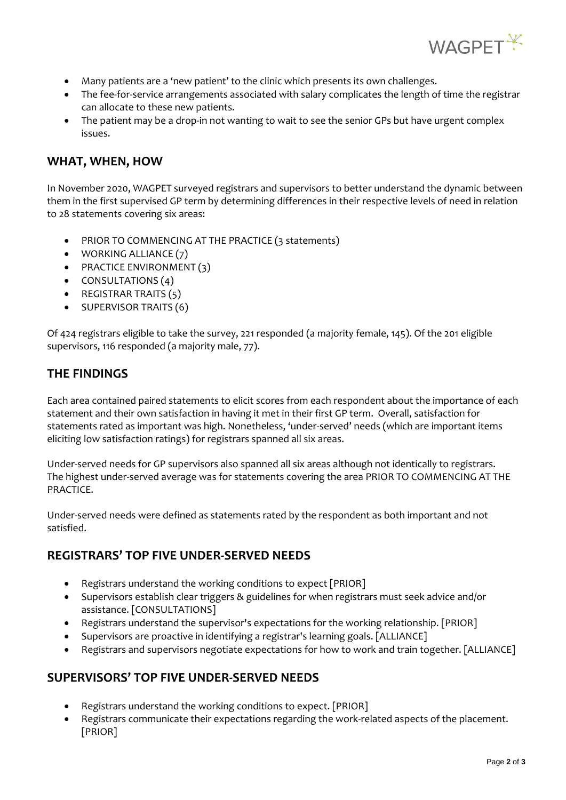

- Many patients are a 'new patient' to the clinic which presents its own challenges.
- The fee-for-service arrangements associated with salary complicates the length of time the registrar can allocate to these new patients.
- The patient may be a drop-in not wanting to wait to see the senior GPs but have urgent complex issues.

## **WHAT, WHEN, HOW**

In November 2020, WAGPET surveyed registrars and supervisors to better understand the dynamic between them in the first supervised GP term by determining differences in their respective levels of need in relation to 28 statements covering six areas:

- PRIOR TO COMMENCING AT THE PRACTICE (3 statements)
- WORKING ALLIANCE (7)
- **•** PRACTICE ENVIRONMENT (3)
- $\bullet$  CONSULTATIONS (4)
- REGISTRAR TRAITS (5)
- SUPERVISOR TRAITS (6)

Of 424 registrars eligible to take the survey, 221 responded (a majority female, 145). Of the 201 eligible supervisors, 116 responded (a majority male, 77).

# **THE FINDINGS**

Each area contained paired statements to elicit scores from each respondent about the importance of each statement and their own satisfaction in having it met in their first GP term. Overall, satisfaction for statements rated as important was high. Nonetheless, 'under-served' needs (which are important items eliciting low satisfaction ratings) for registrars spanned all six areas.

Under-served needs for GP supervisors also spanned all six areas although not identically to registrars. The highest under-served average was for statements covering the area PRIOR TO COMMENCING AT THE PRACTICE.

Under-served needs were defined as statements rated by the respondent as both important and not satisfied.

# **REGISTRARS' TOP FIVE UNDER-SERVED NEEDS**

- Registrars understand the working conditions to expect [PRIOR]
- Supervisors establish clear triggers & guidelines for when registrars must seek advice and/or assistance. [CONSULTATIONS]
- Registrars understand the supervisor's expectations for the working relationship. [PRIOR]
- Supervisors are proactive in identifying a registrar's learning goals. [ALLIANCE]
- Registrars and supervisors negotiate expectations for how to work and train together. [ALLIANCE]

# **SUPERVISORS' TOP FIVE UNDER-SERVED NEEDS**

- Registrars understand the working conditions to expect. [PRIOR]
- Registrars communicate their expectations regarding the work-related aspects of the placement. [PRIOR]